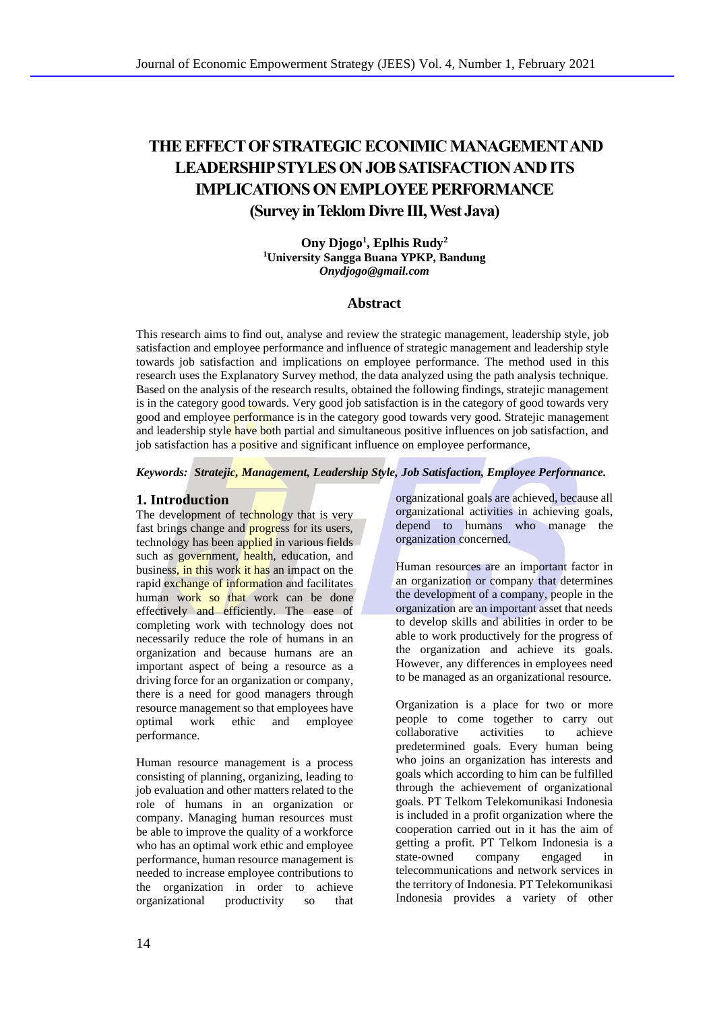# **THE EFFECT OF STRATEGIC ECONIMIC MANAGEMENT AND LEADERSHIP STYLES ON JOB SATISFACTION AND ITS IMPLICATIONS ON EMPLOYEE PERFORMANCE (Survey in Teklom Divre III, West Java)**

**Ony Djogo<sup>1</sup> , Eplhis Rudy<sup>2</sup> <sup>1</sup>University Sangga Buana YPKP, Bandung** *Onydjogo@gmail.com*

### **Abstract**

This research aims to find out, analyse and review the strategic management, leadership style, job satisfaction and employee performance and influence of strategic management and leadership style towards job satisfaction and implications on employee performance. The method used in this research uses the Explanatory Survey method, the data analyzed using the path analysis technique. Based on the analysis of the research results, obtained the following findings, stratejic management is in the category good towards. Very good job satisfaction is in the category of good towards very good and employee performance is in the category good towards very good. Stratejic management and leadership style have both partial and simultaneous positive influences on job satisfaction, and job satisfaction has a positive and significant influence on employee performance,

*Keywords: Stratejic, Management, Leadership Style, Job Satisfaction, Employee Performance.*

# **1. Introduction**

The development of technology that is very fast brings change and progress for its users, technology has been applied in various fields such as government, health, education, and business, in this work it has an impact on the rapid exchange of information and facilitates human work so that work can be done effectively and efficiently. The ease of completing work with technology does not necessarily reduce the role of humans in an organization and because humans are an important aspect of being a resource as a driving force for an organization or company, there is a need for good managers through resource management so that employees have optimal work ethic and employee performance.

Human resource management is a process consisting of planning, organizing, leading to job evaluation and other matters related to the role of humans in an organization or company. Managing human resources must be able to improve the quality of a workforce who has an optimal work ethic and employee performance, human resource management is needed to increase employee contributions to the organization in order to achieve organizational productivity so that

organizational goals are achieved, because all organizational activities in achieving goals, depend to humans who manage the organization concerned.

Human resources are an important factor in an organization or company that determines the development of a company, people in the organization are an important asset that needs to develop skills and abilities in order to be able to work productively for the progress of the organization and achieve its goals. However, any differences in employees need to be managed as an organizational resource.

Organization is a place for two or more people to come together to carry out<br>collaborative activities to achieve collaborative activities to achieve predetermined goals. Every human being who joins an organization has interests and goals which according to him can be fulfilled through the achievement of organizational goals. PT Telkom Telekomunikasi Indonesia is included in a profit organization where the cooperation carried out in it has the aim of getting a profit. PT Telkom Indonesia is a<br>state-owned company engaged in state-owned company engaged in telecommunications and network services in the territory of Indonesia. PT Telekomunikasi Indonesia provides a variety of other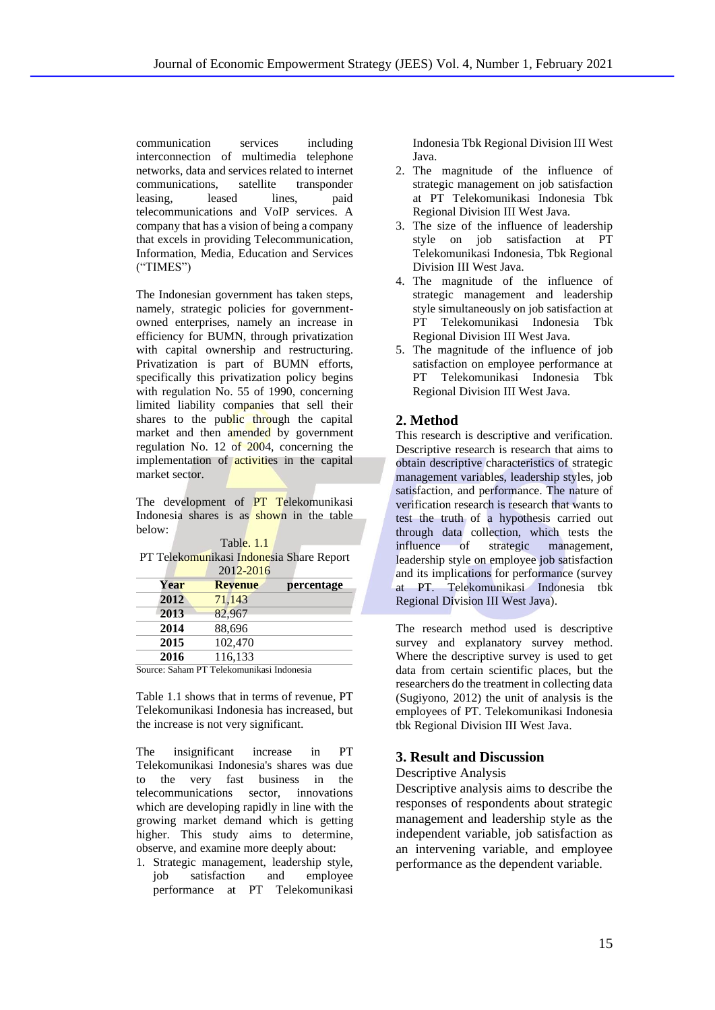communication services including interconnection of multimedia telephone networks, data and services related to internet communications, satellite transponder leasing, leased lines, paid telecommunications and VoIP services. A company that has a vision of being a company that excels in providing Telecommunication, Information, Media, Education and Services ("TIMES")

The Indonesian government has taken steps, namely, strategic policies for governmentowned enterprises, namely an increase in efficiency for BUMN, through privatization with capital ownership and restructuring. Privatization is part of BUMN efforts, specifically this privatization policy begins with regulation No. 55 of 1990, concerning limited liability companies that sell their shares to the public through the capital market and then amended by government regulation No. 12 of 2004, concerning the implementation of **activities** in the capital market sector.

The development of **PT Telekomunikasi** Indonesia shares is as shown in the table below:

Table. 1.1

PT Telekomunikasi Indonesia Share Report  $2012 - 2016$ 

| <b>Revenue</b> | percentage |
|----------------|------------|
| 71,143         |            |
| 82,967         |            |
| 88,696         |            |
| 102,470        |            |
| 116,133        |            |
|                |            |

Source: Saham PT Telekomunikasi Indonesia

Table 1.1 shows that in terms of revenue, PT Telekomunikasi Indonesia has increased, but the increase is not very significant.

The insignificant increase in PT Telekomunikasi Indonesia's shares was due to the very fast business in the telecommunications sector, innovations which are developing rapidly in line with the growing market demand which is getting higher. This study aims to determine, observe, and examine more deeply about:

1. Strategic management, leadership style, job satisfaction and employee performance at PT Telekomunikasi Indonesia Tbk Regional Division III West Java.

- 2. The magnitude of the influence of strategic management on job satisfaction at PT Telekomunikasi Indonesia Tbk Regional Division III West Java.
- 3. The size of the influence of leadership style on job satisfaction at PT Telekomunikasi Indonesia, Tbk Regional Division III West Java.
- 4. The magnitude of the influence of strategic management and leadership style simultaneously on job satisfaction at PT Telekomunikasi Indonesia Tbk Regional Division III West Java.
- 5. The magnitude of the influence of job satisfaction on employee performance at PT Telekomunikasi Indonesia Tbk Regional Division III West Java.

# **2. Method**

This research is descriptive and verification. Descriptive research is research that aims to obtain descriptive characteristics of strategic management variables, leadership styles, job satisfaction, and performance. The nature of verification research is research that wants to test the truth of a hypothesis carried out through data collection, which tests the influence of strategic management, leadership style on employee job satisfaction and its implications for performance (survey at PT. Telekomunikasi Indonesia tbk Regional Division III West Java).

The research method used is descriptive survey and explanatory survey method. Where the descriptive survey is used to get data from certain scientific places, but the researchers do the treatment in collecting data (Sugiyono, 2012) the unit of analysis is the employees of PT. Telekomunikasi Indonesia tbk Regional Division III West Java.

# **3. Result and Discussion**

Descriptive Analysis

Descriptive analysis aims to describe the responses of respondents about strategic management and leadership style as the independent variable, job satisfaction as an intervening variable, and employee performance as the dependent variable.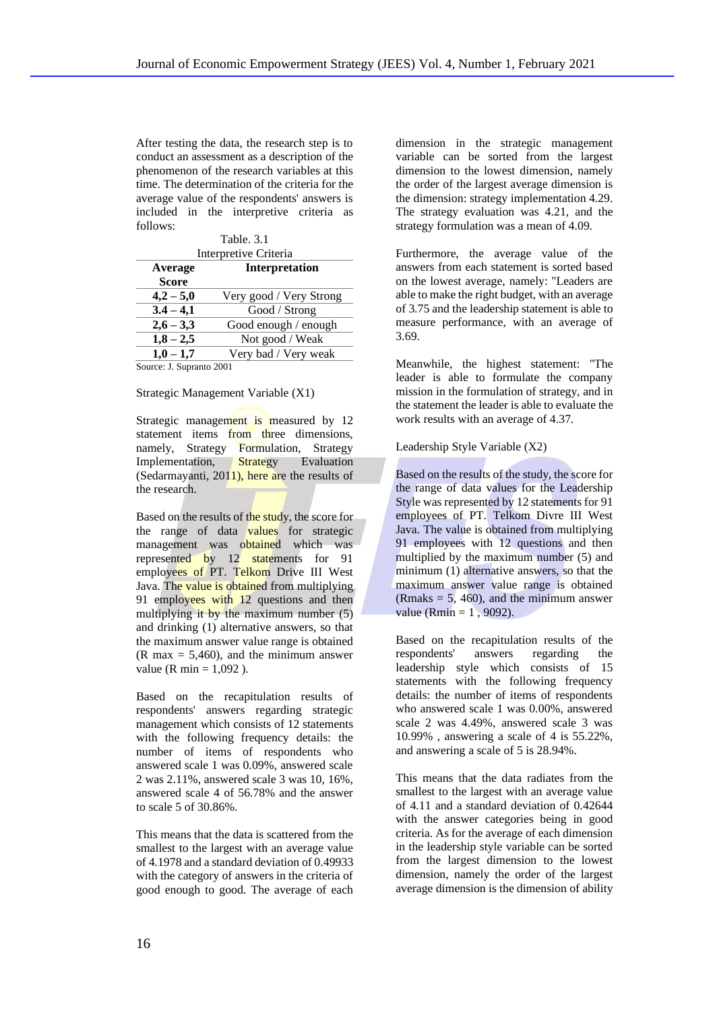After testing the data, the research step is to conduct an assessment as a description of the phenomenon of the research variables at this time. The determination of the criteria for the average value of the respondents' answers is included in the interpretive criteria as follows:

 $T_{1}$ , 1.1.  $2.1$ 

| Table 5.1             |                         |  |
|-----------------------|-------------------------|--|
| Interpretive Criteria |                         |  |
| Average               | <b>Interpretation</b>   |  |
| <b>Score</b>          |                         |  |
| $4,2 - 5,0$           | Very good / Very Strong |  |
| $3.4 - 4.1$           | Good / Strong           |  |
| $2,6 - 3,3$           | Good enough / enough    |  |
| $1,8 - 2,5$           | Not good / Weak         |  |
| $1,0-1,7$             | Very bad / Very weak    |  |
| - -                   | - - - -                 |  |

Source: J. Supranto 2001

#### Strategic Management Variable (X1)

Strategic management is measured by 12 statement items from three dimensions, namely, Strategy Formulation, Strategy Implementation, Strategy Evaluation (Sedarmayanti, 2011), here are the results of the research.

Based on the results of the study, the score for the range of data values for strategic management was obtained which was represented by 12 statements for 91 employees of PT. Telkom Drive III West Java. The value is obtained from multiplying 91 employees with 12 questions and then multiplying it by the maximum number (5) and drinking (1) alternative answers, so that the maximum answer value range is obtained  $(R \text{ max} = 5,460)$ , and the minimum answer value ( $R \text{ min} = 1,092$ ).

Based on the recapitulation results of respondents' answers regarding strategic management which consists of 12 statements with the following frequency details: the number of items of respondents who answered scale 1 was 0.09%, answered scale 2 was 2.11%, answered scale 3 was 10, 16%, answered scale 4 of 56.78% and the answer to scale 5 of 30.86%.

This means that the data is scattered from the smallest to the largest with an average value of 4.1978 and a standard deviation of 0.49933 with the category of answers in the criteria of good enough to good. The average of each

dimension in the strategic management variable can be sorted from the largest dimension to the lowest dimension, namely the order of the largest average dimension is the dimension: strategy implementation 4.29. The strategy evaluation was 4.21, and the strategy formulation was a mean of 4.09.

Furthermore, the average value of the answers from each statement is sorted based on the lowest average, namely: "Leaders are able to make the right budget, with an average of 3.75 and the leadership statement is able to measure performance, with an average of 3.69.

Meanwhile, the highest statement: "The leader is able to formulate the company mission in the formulation of strategy, and in the statement the leader is able to evaluate the work results with an average of 4.37.

#### Leadership Style Variable (X2)

Based on the results of the study, the score for the range of data values for the Leadership Style was represented by 12 statements for 91 employees of PT. Telkom Divre III West Java. The value is obtained from multiplying 91 employees with 12 questions and then multiplied by the maximum number (5) and minimum (1) alternative answers, so that the maximum answer value range is obtained (Rmaks  $= 5, 460$ ), and the minimum answer value (Rmin =  $1,9092$ ).

Based on the recapitulation results of the respondents' answers regarding the leadership style which consists of 15 statements with the following frequency details: the number of items of respondents who answered scale 1 was 0.00%, answered scale 2 was 4.49%, answered scale 3 was 10.99% , answering a scale of 4 is 55.22%, and answering a scale of 5 is 28.94%.

This means that the data radiates from the smallest to the largest with an average value of 4.11 and a standard deviation of 0.42644 with the answer categories being in good criteria. As for the average of each dimension in the leadership style variable can be sorted from the largest dimension to the lowest dimension, namely the order of the largest average dimension is the dimension of ability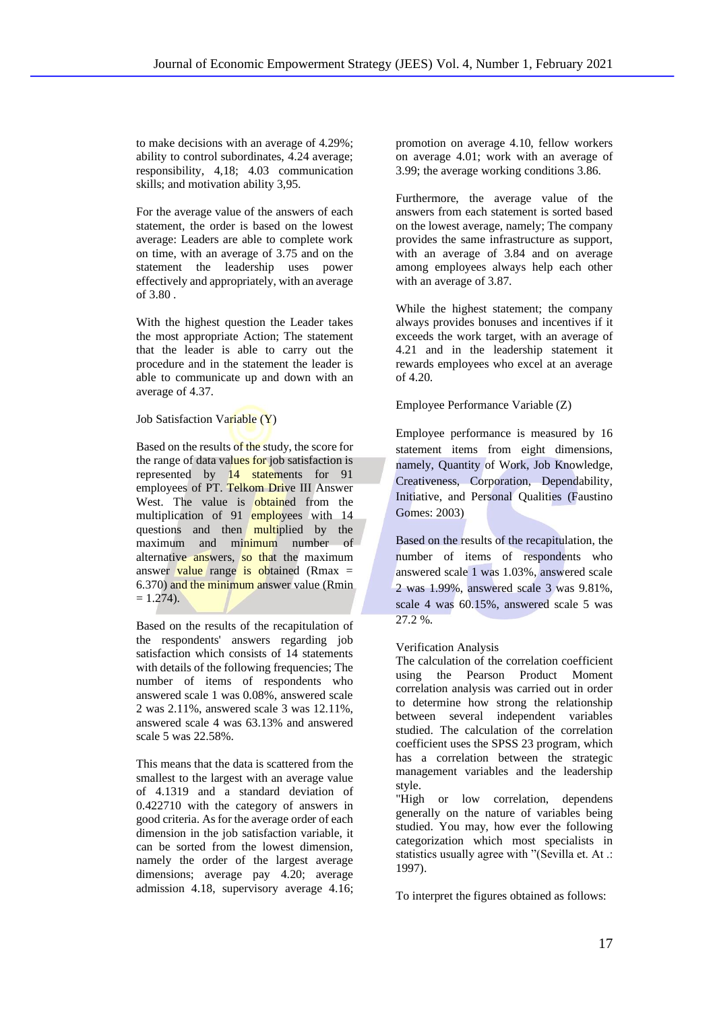to make decisions with an average of 4.29%; ability to control subordinates, 4.24 average; responsibility, 4,18; 4.03 communication skills; and motivation ability 3,95.

For the average value of the answers of each statement, the order is based on the lowest average: Leaders are able to complete work on time, with an average of 3.75 and on the statement the leadership uses power effectively and appropriately, with an average of 3.80 .

With the highest question the Leader takes the most appropriate Action; The statement that the leader is able to carry out the procedure and in the statement the leader is able to communicate up and down with an average of 4.37.

Job Satisfaction Variable (Y)

Based on the results of the study, the score for the range of data values for job satisfaction is represented by 14 statements for 91 employees of PT. Telkom Drive III Answer West. The value is obtained from the multiplication of 91 employees with 14 questions and then multiplied by the maximum and minimum number of alternative answers, so that the maximum answer value range is obtained (Rmax  $=$ 6.370) and the minimum answer value (Rmin  $= 1.274$ ).

Based on the results of the recapitulation of the respondents' answers regarding job satisfaction which consists of 14 statements with details of the following frequencies; The number of items of respondents who answered scale 1 was 0.08%, answered scale 2 was 2.11%, answered scale 3 was 12.11%, answered scale 4 was 63.13% and answered scale 5 was 22.58%.

This means that the data is scattered from the smallest to the largest with an average value of 4.1319 and a standard deviation of 0.422710 with the category of answers in good criteria. As for the average order of each dimension in the job satisfaction variable, it can be sorted from the lowest dimension, namely the order of the largest average dimensions; average pay 4.20; average admission 4.18, supervisory average 4.16; promotion on average 4.10, fellow workers on average 4.01; work with an average of 3.99; the average working conditions 3.86.

Furthermore, the average value of the answers from each statement is sorted based on the lowest average, namely; The company provides the same infrastructure as support, with an average of 3.84 and on average among employees always help each other with an average of 3.87.

While the highest statement; the company always provides bonuses and incentives if it exceeds the work target, with an average of 4.21 and in the leadership statement it rewards employees who excel at an average of 4.20.

## Employee Performance Variable (Z)

Employee performance is measured by 16 statement items from eight dimensions, namely, Quantity of Work, Job Knowledge, Creativeness, Corporation, Dependability, Initiative, and Personal Qualities (Faustino Gomes: 2003)

Based on the results of the recapitulation, the number of items of respondents who answered scale 1 was 1.03%, answered scale 2 was 1.99%, answered scale 3 was 9.81%, scale 4 was 60.15%, answered scale 5 was 27.2 %.

## Verification Analysis

The calculation of the correlation coefficient using the Pearson Product Moment correlation analysis was carried out in order to determine how strong the relationship between several independent variables studied. The calculation of the correlation coefficient uses the SPSS 23 program, which has a correlation between the strategic management variables and the leadership style.

"High or low correlation, dependens generally on the nature of variables being studied. You may, how ever the following categorization which most specialists in statistics usually agree with "(Sevilla et. At .: 1997).

To interpret the figures obtained as follows: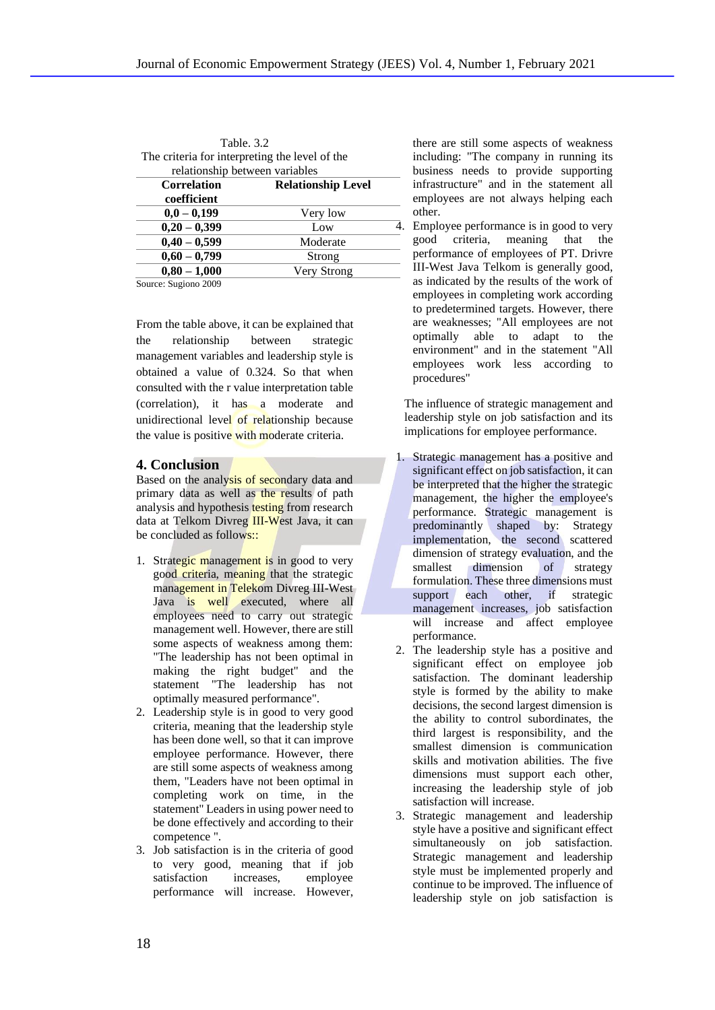| Table, 3.2                                     |                           |  |
|------------------------------------------------|---------------------------|--|
| The criteria for interpreting the level of the |                           |  |
| relationship between variables                 |                           |  |
| <b>Correlation</b>                             | <b>Relationship Level</b> |  |
| coefficient                                    |                           |  |
| $0,0-0,199$                                    | Very low                  |  |
| $0,20 - 0,399$                                 | Low                       |  |
| $0,40 - 0,599$                                 | Moderate                  |  |
| $0,60 - 0,799$                                 | Strong                    |  |
| $0,80 - 1,000$                                 | Very Strong               |  |

Source: Sugiono 2009

From the table above, it can be explained that the relationship between strategic management variables and leadership style is obtained a value of 0.324. So that when consulted with the r value interpretation table (correlation), it has a moderate and unidirectional level of relationship because the value is positive with moderate criteria.

### **4. Conclusion**

Based on the analysis of secondary data and primary data as well as the results of path analysis and hypothesis testing from research data at Telkom Divreg III-West Java, it can be concluded as follows::

- 1. Strategic management is in good to very good criteria, meaning that the strategic management in Telekom Divreg III-West Java is well executed, where all employees need to carry out strategic management well. However, there are still some aspects of weakness among them: "The leadership has not been optimal in making the right budget" and the statement "The leadership has not optimally measured performance".
- 2. Leadership style is in good to very good criteria, meaning that the leadership style has been done well, so that it can improve employee performance. However, there are still some aspects of weakness among them, "Leaders have not been optimal in completing work on time, in the statement" Leaders in using power need to be done effectively and according to their competence ".
- 3. Job satisfaction is in the criteria of good to very good, meaning that if job satisfaction increases, employee performance will increase. However,

there are still some aspects of weakness including: "The company in running its business needs to provide supporting infrastructure" and in the statement all employees are not always helping each other.

4. Employee performance is in good to very good criteria, meaning that the performance of employees of PT. Drivre III-West Java Telkom is generally good, as indicated by the results of the work of employees in completing work according to predetermined targets. However, there are weaknesses; "All employees are not optimally able to adapt to the environment" and in the statement "All employees work less according to procedures"

The influence of strategic management and leadership style on job satisfaction and its implications for employee performance.

- 1. Strategic management has a positive and significant effect on job satisfaction, it can be interpreted that the higher the strategic management, the higher the employee's performance. Strategic management is predominantly shaped by: Strategy implementation, the second scattered dimension of strategy evaluation, and the smallest dimension of strategy formulation. These three dimensions must support each other, if strategic management increases, job satisfaction will increase and affect employee performance.
- 2. The leadership style has a positive and significant effect on employee job satisfaction. The dominant leadership style is formed by the ability to make decisions, the second largest dimension is the ability to control subordinates, the third largest is responsibility, and the smallest dimension is communication skills and motivation abilities. The five dimensions must support each other, increasing the leadership style of job satisfaction will increase.
- 3. Strategic management and leadership style have a positive and significant effect simultaneously on job satisfaction. Strategic management and leadership style must be implemented properly and continue to be improved. The influence of leadership style on job satisfaction is